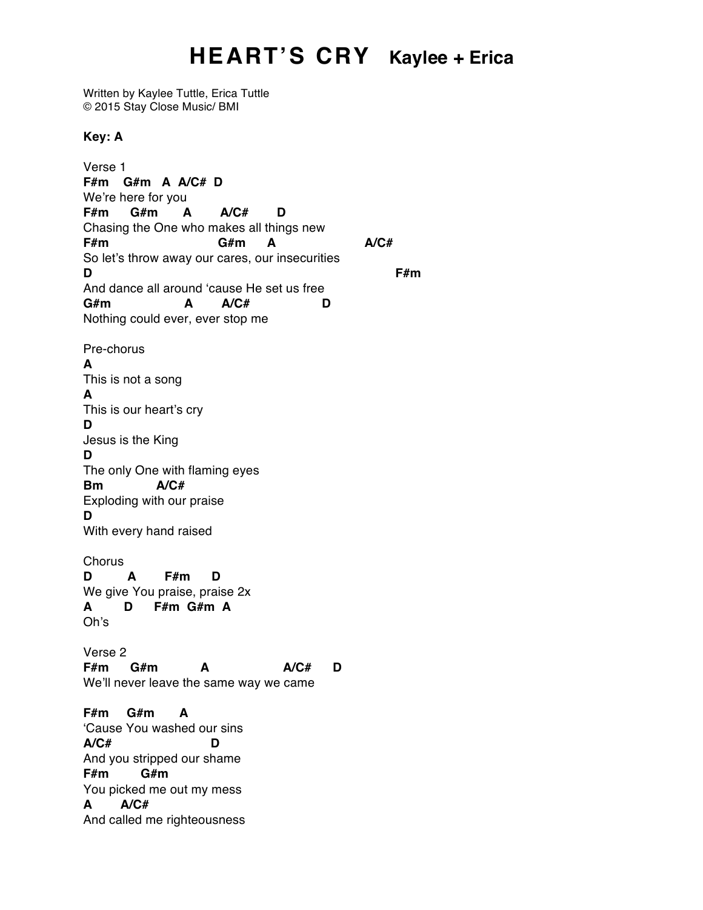## **HEART'S CRY Kaylee + Erica**

Written by Kaylee Tuttle, Erica Tuttle © 2015 Stay Close Music/ BMI

**Key: A**

Verse 1 **F#m G#m A A/C# D** We're here for you **F#m G#m A A/C# D** Chasing the One who makes all things new **F#m G#m A A/C#** So let's throw away our cares, our insecurities **D F#m** And dance all around 'cause He set us free **G#m A A/C# D** Nothing could ever, ever stop me Pre-chorus **A** This is not a song **A** This is our heart's cry **D** Jesus is the King **D** The only One with flaming eyes **Bm A/C#** Exploding with our praise **D** With every hand raised **Chorus D A F#m D** We give You praise, praise 2x **A D F#m G#m A** Oh's Verse 2 **F#m G#m A A/C# D** We'll never leave the same way we came **F#m G#m A** 'Cause You washed our sins **A/C# D** And you stripped our shame **F#m G#m** You picked me out my mess **A A/C#** And called me righteousness